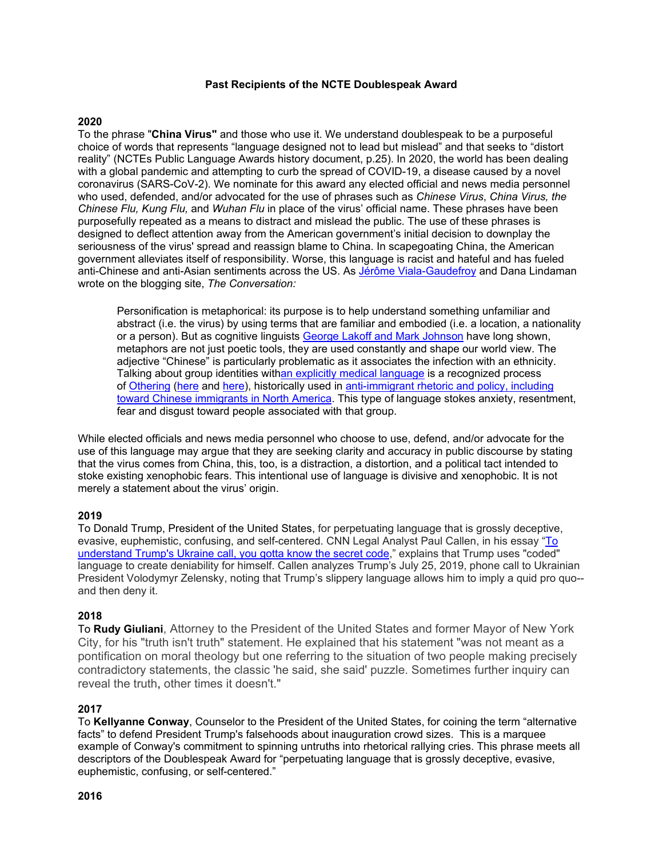### **Past Recipients of the NCTE Doublespeak Award**

## **2020**

To the phrase "**China Virus"** and those who use it. We understand doublespeak to be a purposeful choice of words that represents "language designed not to lead but mislead" and that seeks to "distort reality" (NCTEs Public Language Awards history document, p.25). In 2020, the world has been dealing with a global pandemic and attempting to curb the spread of COVID-19, a disease caused by a novel coronavirus (SARS-CoV-2). We nominate for this award any elected official and news media personnel who used, defended, and/or advocated for the use of phrases such as *Chinese Virus*, *China Virus, the Chinese Flu, Kung Flu,* and *Wuhan Flu* in place of the virus' official name. These phrases have been purposefully repeated as a means to distract and mislead the public. The use of these phrases is designed to deflect attention away from the American government's initial decision to downplay the seriousness of the virus' spread and reassign blame to China. In scapegoating China, the American government alleviates itself of responsibility. Worse, this language is racist and hateful and has fueled anti-Chinese and anti-Asian sentiments across the US. As [Jérôme Viala-Gaudefroy](https://theconversation.com/profiles/jerome-viala-gaudefroy-440831) and Dana Lindaman wrote on the blogging site, *The Conversation:*

Personification is metaphorical: its purpose is to help understand something unfamiliar and abstract (i.e. the virus) by using terms that are familiar and embodied (i.e. a location, a nationality or a person). But as cognitive linguists [George Lakoff and Mark Johnson](https://www.press.uchicago.edu/ucp/books/book/chicago/M/bo3637992.html) have long shown, metaphors are not just poetic tools, they are used constantly and shape our world view. The adjective "Chinese" is particularly problematic as it associates the infection with an ethnicity. Talking about group identities wit[han explicitly medical language](https://www.ncbi.nlm.nih.gov/pmc/articles/PMC2690128/) is a recognized process of [Othering](https://en.wikipedia.org/wiki/Other_(philosophy)) [\(here](https://tidsskrift.dk/qual/article/view/5510) and [here\)](https://books.google.fr/books?hl=en&lr=&id=aB6pAgAAQBAJ&oi=fnd&pg=PT306&dq=othering+identity+), historically used in [anti-immigrant rhetoric and policy, including](https://theconversation.com/anti-asian-racism-during-coronavirus-how-the-language-of-disease-produces-hate-and-violence-134496)  [toward Chinese immigrants in North America.](https://theconversation.com/anti-asian-racism-during-coronavirus-how-the-language-of-disease-produces-hate-and-violence-134496) This type of language stokes anxiety, resentment, fear and disgust toward people associated with that group.

While elected officials and news media personnel who choose to use, defend, and/or advocate for the use of this language may argue that they are seeking clarity and accuracy in public discourse by stating that the virus comes from China, this, too, is a distraction, a distortion, and a political tact intended to stoke existing xenophobic fears. This intentional use of language is divisive and xenophobic. It is not merely a statement about the virus' origin.

### **2019**

To Donald Trump, President of the United States, for perpetuating language that is grossly deceptive, evasive, euphemistic, confusing, and self-centered. CNN Legal Analyst Paul Callen, in his essay ["To](https://www.cnn.com/2019/09/25/opinions/trump-code-talk-ukraine-callan/index.html)  [understand Trump's Ukraine call, you gotta know the secret code,](https://www.cnn.com/2019/09/25/opinions/trump-code-talk-ukraine-callan/index.html)" explains that Trump uses "coded" language to create deniability for himself. Callen analyzes Trump's July 25, 2019, phone call to Ukrainian President Volodymyr Zelensky, noting that Trump's slippery language allows him to imply a quid pro quo- and then deny it.

### **2018**

To **Rudy Giuliani**, Attorney to the President of the United States and former Mayor of New York City, for his "truth isn't truth" statement. He explained that his statement "was not meant as a pontification on moral theology but one referring to the situation of two people making precisely contradictory statements, the classic 'he said, she said' puzzle. Sometimes further inquiry can reveal the truth, other times it doesn't."

### **2017**

To **Kellyanne Conway**, Counselor to the President of the United States, for coining the term "alternative facts" to defend President Trump's falsehoods about inauguration crowd sizes. This is a marquee example of Conway's commitment to spinning untruths into rhetorical rallying cries. This phrase meets all descriptors of the Doublespeak Award for "perpetuating language that is grossly deceptive, evasive, euphemistic, confusing, or self-centered."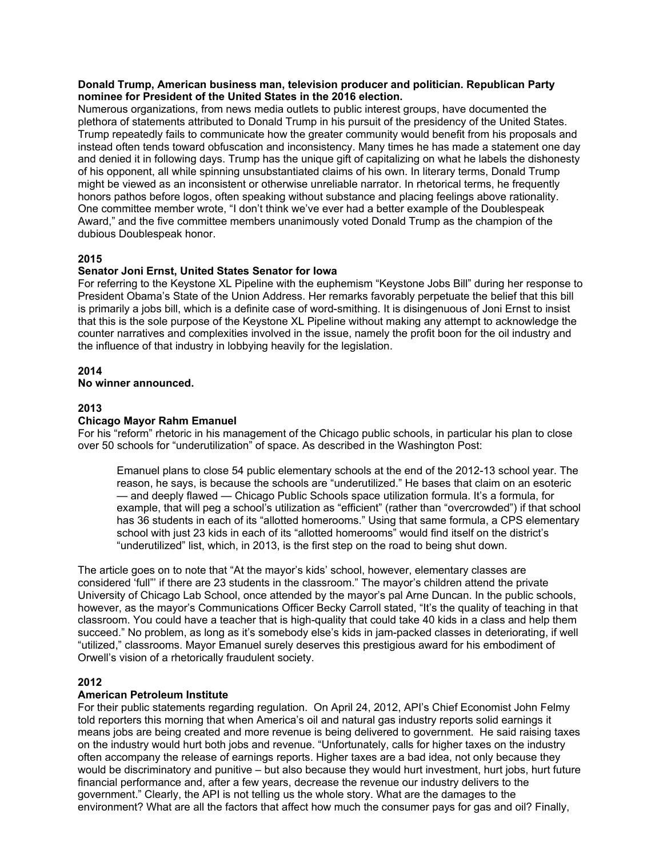### **Donald Trump, American business man, television producer and politician. Republican Party nominee for President of the United States in the 2016 election.**

Numerous organizations, from news media outlets to public interest groups, have documented the plethora of statements attributed to Donald Trump in his pursuit of the presidency of the United States. Trump repeatedly fails to communicate how the greater community would benefit from his proposals and instead often tends toward obfuscation and inconsistency. Many times he has made a statement one day and denied it in following days. Trump has the unique gift of capitalizing on what he labels the dishonesty of his opponent, all while spinning unsubstantiated claims of his own. In literary terms, Donald Trump might be viewed as an inconsistent or otherwise unreliable narrator. In rhetorical terms, he frequently honors pathos before logos, often speaking without substance and placing feelings above rationality. One committee member wrote, "I don't think we've ever had a better example of the Doublespeak Award," and the five committee members unanimously voted Donald Trump as the champion of the dubious Doublespeak honor.

## **2015**

## **Senator Joni Ernst, United States Senator for Iowa**

For referring to the Keystone XL Pipeline with the euphemism "Keystone Jobs Bill" during her response to President Obama's State of the Union Address. Her remarks favorably perpetuate the belief that this bill is primarily a jobs bill, which is a definite case of word-smithing. It is disingenuous of Joni Ernst to insist that this is the sole purpose of the Keystone XL Pipeline without making any attempt to acknowledge the counter narratives and complexities involved in the issue, namely the profit boon for the oil industry and the influence of that industry in lobbying heavily for the legislation.

## **2014**

## **No winner announced.**

## **2013**

## **Chicago Mayor Rahm Emanuel**

For his "reform" rhetoric in his management of the Chicago public schools, in particular his plan to close over 50 schools for "underutilization" of space. As described in the Washington Post:

Emanuel plans to close 54 public elementary schools at the end of the 2012-13 school year. The reason, he says, is because the schools are "underutilized." He bases that claim on an esoteric — and deeply flawed — Chicago Public Schools space utilization formula. It's a formula, for example, that will peg a school's utilization as "efficient" (rather than "overcrowded") if that school has 36 students in each of its "allotted homerooms." Using that same formula, a CPS elementary school with just 23 kids in each of its "allotted homerooms" would find itself on the district's "underutilized" list, which, in 2013, is the first step on the road to being shut down.

The article goes on to note that "At the mayor's kids' school, however, elementary classes are considered 'full"' if there are 23 students in the classroom." The mayor's children attend the private University of Chicago Lab School, once attended by the mayor's pal Arne Duncan. In the public schools, however, as the mayor's Communications Officer Becky Carroll stated, "It's the quality of teaching in that classroom. You could have a teacher that is high-quality that could take 40 kids in a class and help them succeed." No problem, as long as it's somebody else's kids in jam-packed classes in deteriorating, if well "utilized," classrooms. Mayor Emanuel surely deserves this prestigious award for his embodiment of Orwell's vision of a rhetorically fraudulent society.

## **2012**

## **American Petroleum Institute**

For their public statements regarding regulation. On April 24, 2012, API's Chief Economist John Felmy told reporters this morning that when America's oil and natural gas industry reports solid earnings it means jobs are being created and more revenue is being delivered to government. He said raising taxes on the industry would hurt both jobs and revenue. "Unfortunately, calls for higher taxes on the industry often accompany the release of earnings reports. Higher taxes are a bad idea, not only because they would be discriminatory and punitive – but also because they would hurt investment, hurt jobs, hurt future financial performance and, after a few years, decrease the revenue our industry delivers to the government." Clearly, the API is not telling us the whole story. What are the damages to the environment? What are all the factors that affect how much the consumer pays for gas and oil? Finally,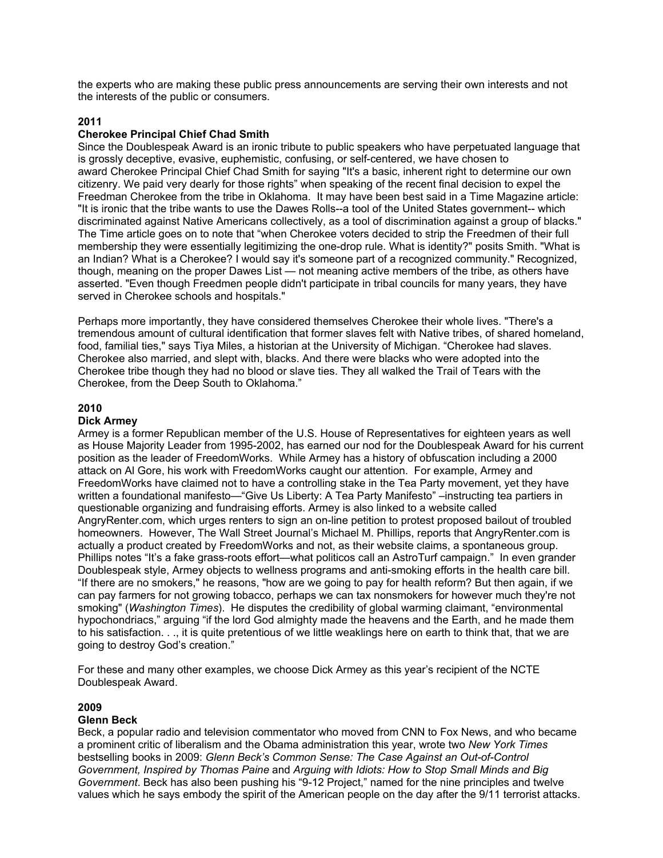the experts who are making these public press announcements are serving their own interests and not the interests of the public or consumers.

### **2011**

### **Cherokee Principal Chief Chad Smith**

Since the Doublespeak Award is an ironic tribute to public speakers who have perpetuated language that is grossly deceptive, evasive, euphemistic, confusing, or self-centered, we have chosen to award Cherokee Principal Chief Chad Smith for saying "It's a basic, inherent right to determine our own citizenry. We paid very dearly for those rights" when speaking of the recent final decision to expel the Freedman Cherokee from the tribe in Oklahoma. It may have been best said in a Time Magazine article: "It is ironic that the tribe wants to use the Dawes Rolls--a tool of the United States government-- which discriminated against Native Americans collectively, as a tool of discrimination against a group of blacks." The Time article goes on to note that "when Cherokee voters decided to strip the Freedmen of their full membership they were essentially legitimizing the one-drop rule. What is identity?" posits Smith. "What is an Indian? What is a Cherokee? I would say it's someone part of a recognized community." Recognized, though, meaning on the proper Dawes List — not meaning active members of the tribe, as others have asserted. "Even though Freedmen people didn't participate in tribal councils for many years, they have served in Cherokee schools and hospitals."

Perhaps more importantly, they have considered themselves Cherokee their whole lives. "There's a tremendous amount of cultural identification that former slaves felt with Native tribes, of shared homeland, food, familial ties," says Tiya Miles, a historian at the University of Michigan. "Cherokee had slaves. Cherokee also married, and slept with, blacks. And there were blacks who were adopted into the Cherokee tribe though they had no blood or slave ties. They all walked the Trail of Tears with the Cherokee, from the Deep South to Oklahoma."

### **2010**

### **Dick Armey**

Armey is a former Republican member of the U.S. House of Representatives for eighteen years as well as House Majority Leader from 1995-2002, has earned our nod for the Doublespeak Award for his current position as the leader of FreedomWorks. While Armey has a history of obfuscation including a 2000 attack on Al Gore, his work with FreedomWorks caught our attention. For example, Armey and FreedomWorks have claimed not to have a controlling stake in the Tea Party movement, yet they have written a foundational manifesto—"Give Us Liberty: A Tea Party Manifesto" –instructing tea partiers in questionable organizing and fundraising efforts. Armey is also linked to a website called AngryRenter.com, which urges renters to sign an on-line petition to protest proposed bailout of troubled homeowners. However, The Wall Street Journal's Michael M. Phillips, reports that AngryRenter.com is actually a product created by FreedomWorks and not, as their website claims, a spontaneous group. Phillips notes "It's a fake grass-roots effort—what politicos call an AstroTurf campaign." In even grander Doublespeak style, Armey objects to wellness programs and anti-smoking efforts in the health care bill. "If there are no smokers," he reasons, "how are we going to pay for health reform? But then again, if we can pay farmers for not growing tobacco, perhaps we can tax nonsmokers for however much they're not smoking" (*Washington Times*). He disputes the credibility of global warming claimant, "environmental hypochondriacs," arguing "if the lord God almighty made the heavens and the Earth, and he made them to his satisfaction. . ., it is quite pretentious of we little weaklings here on earth to think that, that we are going to destroy God's creation."

For these and many other examples, we choose Dick Armey as this year's recipient of the NCTE Doublespeak Award.

### **2009**

### **Glenn Beck**

Beck, a popular radio and television commentator who moved from CNN to Fox News, and who became a prominent critic of liberalism and the Obama administration this year, wrote two *New York Times* bestselling books in 2009: *Glenn Beck's Common Sense: The Case Against an Out-of-Control Government, Inspired by Thomas Paine* and *Arguing with Idiots: How to Stop Small Minds and Big Government*. Beck has also been pushing his "9-12 Project," named for the nine principles and twelve values which he says embody the spirit of the American people on the day after the 9/11 terrorist attacks.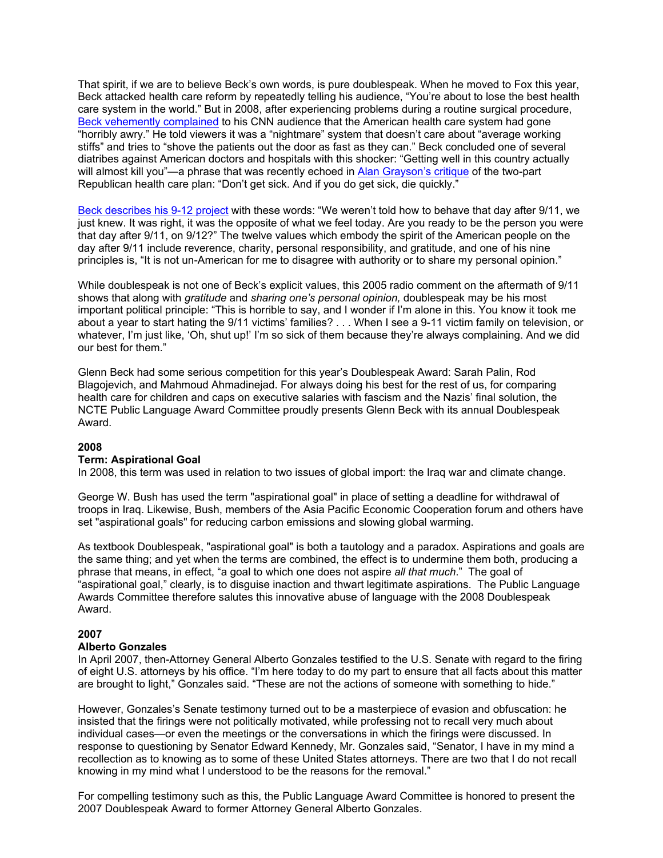That spirit, if we are to believe Beck's own words, is pure doublespeak. When he moved to Fox this year, Beck attacked health care reform by repeatedly telling his audience, "You're about to lose the best health care system in the world." But in 2008, after experiencing problems during a routine surgical procedure, [Beck vehemently complained](http://www.thedailyshow.com/watch/thu-august-13-2009/glenn-beck-s-operation) to his CNN audience that the American health care system had gone "horribly awry." He told viewers it was a "nightmare" system that doesn't care about "average working stiffs" and tries to "shove the patients out the door as fast as they can." Beck concluded one of several diatribes against American doctors and hospitals with this shocker: "Getting well in this country actually will almost kill you"—a phrase that was recently echoed in [Alan Grayson's critique](http://www.youtube.com/watch?v=-usmvYOPfco) of the two-part Republican health care plan: "Don't get sick. And if you do get sick, die quickly."

[Beck describes his 9-12 project](http://www.huffingtonpost.com/2009/04/01/stephen-colbert-rips-apar_n_181673.html) with these words: "We weren't told how to behave that day after 9/11, we just knew. It was right, it was the opposite of what we feel today. Are you ready to be the person you were that day after 9/11, on 9/12?" The twelve values which embody the spirit of the American people on the day after 9/11 include reverence, charity, personal responsibility, and gratitude, and one of his nine principles is, "It is not un-American for me to disagree with authority or to share my personal opinion."

While doublespeak is not one of Beck's explicit values, this 2005 radio comment on the aftermath of 9/11 shows that along with *gratitude* and *sharing one's personal opinion,* doublespeak may be his most important political principle: "This is horrible to say, and I wonder if I'm alone in this. You know it took me about a year to start hating the 9/11 victims' families? . . . When I see a 9-11 victim family on television, or whatever, I'm just like, 'Oh, shut up!' I'm so sick of them because they're always complaining. And we did our best for them."

Glenn Beck had some serious competition for this year's Doublespeak Award: Sarah Palin, Rod Blagojevich, and Mahmoud Ahmadinejad. For always doing his best for the rest of us, for comparing health care for children and caps on executive salaries with fascism and the Nazis' final solution, the NCTE Public Language Award Committee proudly presents Glenn Beck with its annual Doublespeak Award.

## **2008**

#### **Term: Aspirational Goal**

In 2008, this term was used in relation to two issues of global import: the Iraq war and climate change.

George W. Bush has used the term "aspirational goal" in place of setting a deadline for withdrawal of troops in Iraq. Likewise, Bush, members of the Asia Pacific Economic Cooperation forum and others have set "aspirational goals" for reducing carbon emissions and slowing global warming.

As textbook Doublespeak, "aspirational goal" is both a tautology and a paradox. Aspirations and goals are the same thing; and yet when the terms are combined, the effect is to undermine them both, producing a phrase that means, in effect, "a goal to which one does not aspire *all that much*." The goal of "aspirational goal," clearly, is to disguise inaction and thwart legitimate aspirations. The Public Language Awards Committee therefore salutes this innovative abuse of language with the 2008 Doublespeak Award.

## **2007**

#### **Alberto Gonzales**

In April 2007, then-Attorney General Alberto Gonzales testified to the U.S. Senate with regard to the firing of eight U.S. attorneys by his office. "I'm here today to do my part to ensure that all facts about this matter are brought to light," Gonzales said. "These are not the actions of someone with something to hide."

However, Gonzales's Senate testimony turned out to be a masterpiece of evasion and obfuscation: he insisted that the firings were not politically motivated, while professing not to recall very much about individual cases—or even the meetings or the conversations in which the firings were discussed. In response to questioning by Senator Edward Kennedy, Mr. Gonzales said, "Senator, I have in my mind a recollection as to knowing as to some of these United States attorneys. There are two that I do not recall knowing in my mind what I understood to be the reasons for the removal."

For compelling testimony such as this, the Public Language Award Committee is honored to present the 2007 Doublespeak Award to former Attorney General Alberto Gonzales.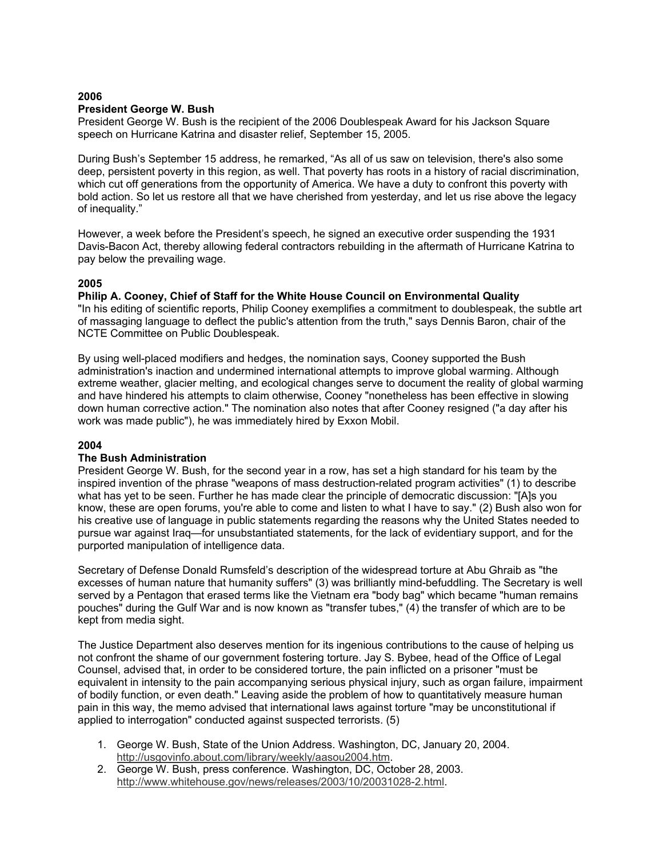## **2006 President George W. Bush**

President George W. Bush is the recipient of the 2006 Doublespeak Award for his Jackson Square speech on Hurricane Katrina and disaster relief, September 15, 2005.

During Bush's September 15 address, he remarked, "As all of us saw on television, there's also some deep, persistent poverty in this region, as well. That poverty has roots in a history of racial discrimination, which cut off generations from the opportunity of America. We have a duty to confront this poverty with bold action. So let us restore all that we have cherished from yesterday, and let us rise above the legacy of inequality."

However, a week before the President's speech, he signed an executive order suspending the 1931 Davis-Bacon Act, thereby allowing federal contractors rebuilding in the aftermath of Hurricane Katrina to pay below the prevailing wage.

## **2005**

**Philip A. Cooney, Chief of Staff for the White House Council on Environmental Quality**

"In his editing of scientific reports, Philip Cooney exemplifies a commitment to doublespeak, the subtle art of massaging language to deflect the public's attention from the truth," says Dennis Baron, chair of the NCTE Committee on Public Doublespeak.

By using well-placed modifiers and hedges, the nomination says, Cooney supported the Bush administration's inaction and undermined international attempts to improve global warming. Although extreme weather, glacier melting, and ecological changes serve to document the reality of global warming and have hindered his attempts to claim otherwise, Cooney "nonetheless has been effective in slowing down human corrective action." The nomination also notes that after Cooney resigned ("a day after his work was made public"), he was immediately hired by Exxon Mobil.

## **2004**

## **The Bush Administration**

President George W. Bush, for the second year in a row, has set a high standard for his team by the inspired invention of the phrase "weapons of mass destruction-related program activities" (1) to describe what has yet to be seen. Further he has made clear the principle of democratic discussion: "[A]s you know, these are open forums, you're able to come and listen to what I have to say." (2) Bush also won for his creative use of language in public statements regarding the reasons why the United States needed to pursue war against Iraq—for unsubstantiated statements, for the lack of evidentiary support, and for the purported manipulation of intelligence data.

Secretary of Defense Donald Rumsfeld's description of the widespread torture at Abu Ghraib as "the excesses of human nature that humanity suffers" (3) was brilliantly mind-befuddling. The Secretary is well served by a Pentagon that erased terms like the Vietnam era "body bag" which became "human remains pouches" during the Gulf War and is now known as "transfer tubes," (4) the transfer of which are to be kept from media sight.

The Justice Department also deserves mention for its ingenious contributions to the cause of helping us not confront the shame of our government fostering torture. Jay S. Bybee, head of the Office of Legal Counsel, advised that, in order to be considered torture, the pain inflicted on a prisoner "must be equivalent in intensity to the pain accompanying serious physical injury, such as organ failure, impairment of bodily function, or even death." Leaving aside the problem of how to quantitatively measure human pain in this way, the memo advised that international laws against torture "may be unconstitutional if applied to interrogation" conducted against suspected terrorists. (5)

- 1. George W. Bush, State of the Union Address. Washington, DC, January 20, 2004. [http://usgovinfo.about.com/library/weekly/aasou2004.htm.](http://usgovinfo.about.com/library/weekly/aasou2004.htm)
- 2. George W. Bush, press conference. Washington, DC, October 28, 2003. [http://www.whitehouse.gov/news/releases/2003/10/20031028-2.html.](http://www.whitehouse.gov/news/releases/2003/10/20031028-2.html)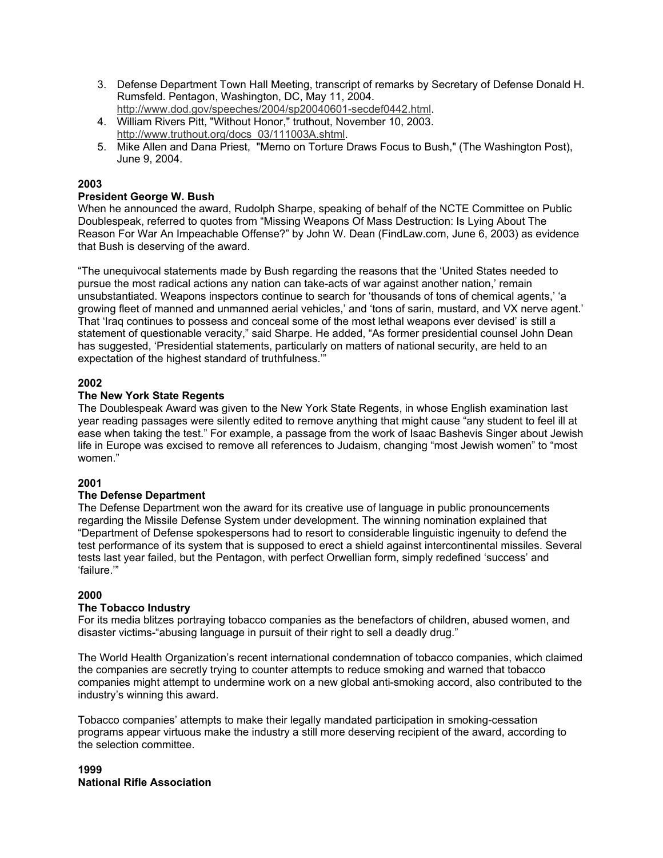- 3. Defense Department Town Hall Meeting, transcript of remarks by Secretary of Defense Donald H. Rumsfeld. Pentagon, Washington, DC, May 11, 2004. [http://www.dod.gov/speeches/2004/sp20040601-secdef0442.html.](http://www.dod.gov/speeches/2004/sp20040601-secdef0442.html)
- 4. William Rivers Pitt, "Without Honor," truthout, November 10, 2003. [http://www.truthout.org/docs\\_03/111003A.shtml.](http://www.truthout.org/docs_03/111003A.shtml)
- 5. Mike Allen and Dana Priest, "Memo on Torture Draws Focus to Bush," (The Washington Post), June 9, 2004.

## **2003**

# **President George W. Bush**

When he announced the award, Rudolph Sharpe, speaking of behalf of the NCTE Committee on Public Doublespeak, referred to quotes from "Missing Weapons Of Mass Destruction: Is Lying About The Reason For War An Impeachable Offense?" by John W. Dean (FindLaw.com, June 6, 2003) as evidence that Bush is deserving of the award.

"The unequivocal statements made by Bush regarding the reasons that the 'United States needed to pursue the most radical actions any nation can take-acts of war against another nation,' remain unsubstantiated. Weapons inspectors continue to search for 'thousands of tons of chemical agents,' 'a growing fleet of manned and unmanned aerial vehicles,' and 'tons of sarin, mustard, and VX nerve agent.' That 'Iraq continues to possess and conceal some of the most lethal weapons ever devised' is still a statement of questionable veracity," said Sharpe. He added, "As former presidential counsel John Dean has suggested, 'Presidential statements, particularly on matters of national security, are held to an expectation of the highest standard of truthfulness.'"

# **2002**

## **The New York State Regents**

The Doublespeak Award was given to the New York State Regents, in whose English examination last year reading passages were silently edited to remove anything that might cause "any student to feel ill at ease when taking the test." For example, a passage from the work of Isaac Bashevis Singer about Jewish life in Europe was excised to remove all references to Judaism, changing "most Jewish women" to "most women."

## **2001**

## **The Defense Department**

The Defense Department won the award for its creative use of language in public pronouncements regarding the Missile Defense System under development. The winning nomination explained that "Department of Defense spokespersons had to resort to considerable linguistic ingenuity to defend the test performance of its system that is supposed to erect a shield against intercontinental missiles. Several tests last year failed, but the Pentagon, with perfect Orwellian form, simply redefined 'success' and 'failure.'"

## **2000**

## **The Tobacco Industry**

For its media blitzes portraying tobacco companies as the benefactors of children, abused women, and disaster victims-"abusing language in pursuit of their right to sell a deadly drug."

The World Health Organization's recent international condemnation of tobacco companies, which claimed the companies are secretly trying to counter attempts to reduce smoking and warned that tobacco companies might attempt to undermine work on a new global anti-smoking accord, also contributed to the industry's winning this award.

Tobacco companies' attempts to make their legally mandated participation in smoking-cessation programs appear virtuous make the industry a still more deserving recipient of the award, according to the selection committee.

## **1999 National Rifle Association**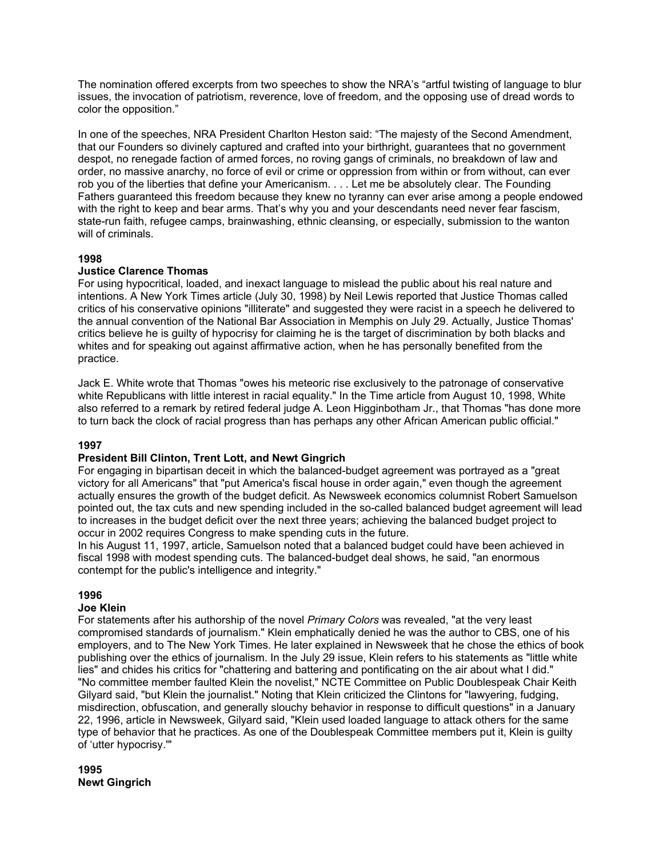The nomination offered excerpts from two speeches to show the NRA's "artful twisting of language to blur issues, the invocation of patriotism, reverence, love of freedom, and the opposing use of dread words to color the opposition."

In one of the speeches, NRA President Charlton Heston said: "The majesty of the Second Amendment, that our Founders so divinely captured and crafted into your birthright, guarantees that no government despot, no renegade faction of armed forces, no roving gangs of criminals, no breakdown of law and order, no massive anarchy, no force of evil or crime or oppression from within or from without, can ever rob you of the liberties that define your Americanism. . . . Let me be absolutely clear. The Founding Fathers guaranteed this freedom because they knew no tyranny can ever arise among a people endowed with the right to keep and bear arms. That's why you and your descendants need never fear fascism, state-run faith, refugee camps, brainwashing, ethnic cleansing, or especially, submission to the wanton will of criminals.

## **1998**

## **Justice Clarence Thomas**

For using hypocritical, loaded, and inexact language to mislead the public about his real nature and intentions. A New York Times article (July 30, 1998) by Neil Lewis reported that Justice Thomas called critics of his conservative opinions "illiterate" and suggested they were racist in a speech he delivered to the annual convention of the National Bar Association in Memphis on July 29. Actually, Justice Thomas' critics believe he is guilty of hypocrisy for claiming he is the target of discrimination by both blacks and whites and for speaking out against affirmative action, when he has personally benefited from the practice.

Jack E. White wrote that Thomas "owes his meteoric rise exclusively to the patronage of conservative white Republicans with little interest in racial equality." In the Time article from August 10, 1998, White also referred to a remark by retired federal judge A. Leon Higginbotham Jr., that Thomas "has done more to turn back the clock of racial progress than has perhaps any other African American public official."

## **1997**

## **President Bill Clinton, Trent Lott, and Newt Gingrich**

For engaging in bipartisan deceit in which the balanced-budget agreement was portrayed as a "great victory for all Americans" that "put America's fiscal house in order again," even though the agreement actually ensures the growth of the budget deficit. As Newsweek economics columnist Robert Samuelson pointed out, the tax cuts and new spending included in the so-called balanced budget agreement will lead to increases in the budget deficit over the next three years; achieving the balanced budget project to occur in 2002 requires Congress to make spending cuts in the future.

In his August 11, 1997, article, Samuelson noted that a balanced budget could have been achieved in fiscal 1998 with modest spending cuts. The balanced-budget deal shows, he said, "an enormous contempt for the public's intelligence and integrity."

## **1996**

### **Joe Klein**

For statements after his authorship of the novel *Primary Colors* was revealed, "at the very least compromised standards of journalism." Klein emphatically denied he was the author to CBS, one of his employers, and to The New York Times. He later explained in Newsweek that he chose the ethics of book publishing over the ethics of journalism. In the July 29 issue, Klein refers to his statements as "little white lies" and chides his critics for "chattering and battering and pontificating on the air about what I did." "No committee member faulted Klein the novelist," NCTE Committee on Public Doublespeak Chair Keith Gilyard said, "but Klein the journalist." Noting that Klein criticized the Clintons for "lawyering, fudging, misdirection, obfuscation, and generally slouchy behavior in response to difficult questions" in a January 22, 1996, article in Newsweek, Gilyard said, "Klein used loaded language to attack others for the same type of behavior that he practices. As one of the Doublespeak Committee members put it, Klein is guilty of 'utter hypocrisy.'"

**1995 Newt Gingrich**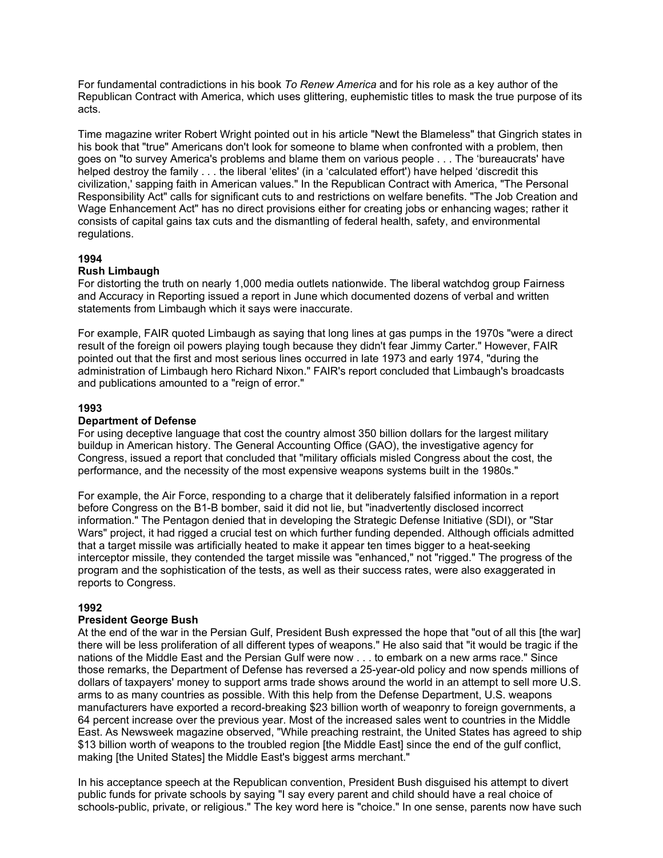For fundamental contradictions in his book *To Renew America* and for his role as a key author of the Republican Contract with America, which uses glittering, euphemistic titles to mask the true purpose of its acts.

Time magazine writer Robert Wright pointed out in his article "Newt the Blameless" that Gingrich states in his book that "true" Americans don't look for someone to blame when confronted with a problem, then goes on "to survey America's problems and blame them on various people . . . The 'bureaucrats' have helped destroy the family . . . the liberal 'elites' (in a 'calculated effort') have helped 'discredit this civilization,' sapping faith in American values." In the Republican Contract with America, "The Personal Responsibility Act" calls for significant cuts to and restrictions on welfare benefits. "The Job Creation and Wage Enhancement Act" has no direct provisions either for creating jobs or enhancing wages; rather it consists of capital gains tax cuts and the dismantling of federal health, safety, and environmental regulations.

### **1994**

## **Rush Limbaugh**

For distorting the truth on nearly 1,000 media outlets nationwide. The liberal watchdog group Fairness and Accuracy in Reporting issued a report in June which documented dozens of verbal and written statements from Limbaugh which it says were inaccurate.

For example, FAIR quoted Limbaugh as saying that long lines at gas pumps in the 1970s "were a direct result of the foreign oil powers playing tough because they didn't fear Jimmy Carter." However, FAIR pointed out that the first and most serious lines occurred in late 1973 and early 1974, "during the administration of Limbaugh hero Richard Nixon." FAIR's report concluded that Limbaugh's broadcasts and publications amounted to a "reign of error."

## **1993**

## **Department of Defense**

For using deceptive language that cost the country almost 350 billion dollars for the largest military buildup in American history. The General Accounting Office (GAO), the investigative agency for Congress, issued a report that concluded that "military officials misled Congress about the cost, the performance, and the necessity of the most expensive weapons systems built in the 1980s."

For example, the Air Force, responding to a charge that it deliberately falsified information in a report before Congress on the B1-B bomber, said it did not lie, but "inadvertently disclosed incorrect information." The Pentagon denied that in developing the Strategic Defense Initiative (SDI), or "Star Wars" project, it had rigged a crucial test on which further funding depended. Although officials admitted that a target missile was artificially heated to make it appear ten times bigger to a heat-seeking interceptor missile, they contended the target missile was "enhanced," not "rigged." The progress of the program and the sophistication of the tests, as well as their success rates, were also exaggerated in reports to Congress.

## **1992**

### **President George Bush**

At the end of the war in the Persian Gulf, President Bush expressed the hope that "out of all this [the war] there will be less proliferation of all different types of weapons." He also said that "it would be tragic if the nations of the Middle East and the Persian Gulf were now . . . to embark on a new arms race." Since those remarks, the Department of Defense has reversed a 25-year-old policy and now spends millions of dollars of taxpayers' money to support arms trade shows around the world in an attempt to sell more U.S. arms to as many countries as possible. With this help from the Defense Department, U.S. weapons manufacturers have exported a record-breaking \$23 billion worth of weaponry to foreign governments, a 64 percent increase over the previous year. Most of the increased sales went to countries in the Middle East. As Newsweek magazine observed, "While preaching restraint, the United States has agreed to ship \$13 billion worth of weapons to the troubled region [the Middle East] since the end of the gulf conflict, making [the United States] the Middle East's biggest arms merchant."

In his acceptance speech at the Republican convention, President Bush disguised his attempt to divert public funds for private schools by saying "I say every parent and child should have a real choice of schools-public, private, or religious." The key word here is "choice." In one sense, parents now have such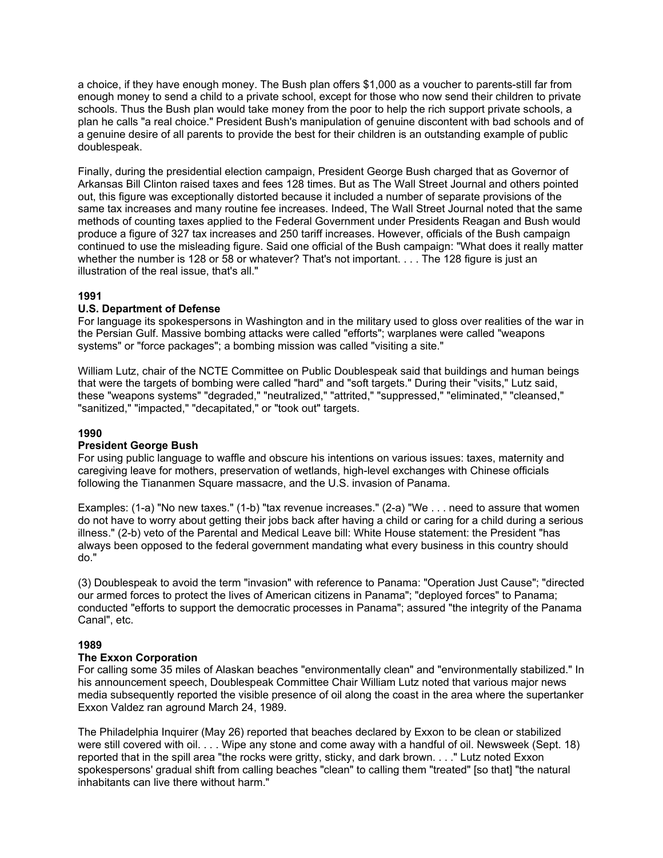a choice, if they have enough money. The Bush plan offers \$1,000 as a voucher to parents-still far from enough money to send a child to a private school, except for those who now send their children to private schools. Thus the Bush plan would take money from the poor to help the rich support private schools, a plan he calls "a real choice." President Bush's manipulation of genuine discontent with bad schools and of a genuine desire of all parents to provide the best for their children is an outstanding example of public doublespeak.

Finally, during the presidential election campaign, President George Bush charged that as Governor of Arkansas Bill Clinton raised taxes and fees 128 times. But as The Wall Street Journal and others pointed out, this figure was exceptionally distorted because it included a number of separate provisions of the same tax increases and many routine fee increases. Indeed, The Wall Street Journal noted that the same methods of counting taxes applied to the Federal Government under Presidents Reagan and Bush would produce a figure of 327 tax increases and 250 tariff increases. However, officials of the Bush campaign continued to use the misleading figure. Said one official of the Bush campaign: "What does it really matter whether the number is 128 or 58 or whatever? That's not important. . . . The 128 figure is just an illustration of the real issue, that's all."

## **1991**

## **U.S. Department of Defense**

For language its spokespersons in Washington and in the military used to gloss over realities of the war in the Persian Gulf. Massive bombing attacks were called "efforts"; warplanes were called "weapons systems" or "force packages"; a bombing mission was called "visiting a site."

William Lutz, chair of the NCTE Committee on Public Doublespeak said that buildings and human beings that were the targets of bombing were called "hard" and "soft targets." During their "visits," Lutz said, these "weapons systems" "degraded," "neutralized," "attrited," "suppressed," "eliminated," "cleansed," "sanitized," "impacted," "decapitated," or "took out" targets.

### **1990**

### **President George Bush**

For using public language to waffle and obscure his intentions on various issues: taxes, maternity and caregiving leave for mothers, preservation of wetlands, high-level exchanges with Chinese officials following the Tiananmen Square massacre, and the U.S. invasion of Panama.

Examples: (1-a) "No new taxes." (1-b) "tax revenue increases." (2-a) "We . . . need to assure that women do not have to worry about getting their jobs back after having a child or caring for a child during a serious illness." (2-b) veto of the Parental and Medical Leave bill: White House statement: the President "has always been opposed to the federal government mandating what every business in this country should do."

(3) Doublespeak to avoid the term "invasion" with reference to Panama: "Operation Just Cause"; "directed our armed forces to protect the lives of American citizens in Panama"; "deployed forces" to Panama; conducted "efforts to support the democratic processes in Panama"; assured "the integrity of the Panama Canal", etc.

### **1989**

### **The Exxon Corporation**

For calling some 35 miles of Alaskan beaches "environmentally clean" and "environmentally stabilized." In his announcement speech, Doublespeak Committee Chair William Lutz noted that various major news media subsequently reported the visible presence of oil along the coast in the area where the supertanker Exxon Valdez ran aground March 24, 1989.

The Philadelphia Inquirer (May 26) reported that beaches declared by Exxon to be clean or stabilized were still covered with oil. . . . Wipe any stone and come away with a handful of oil. Newsweek (Sept. 18) reported that in the spill area "the rocks were gritty, sticky, and dark brown. . . ." Lutz noted Exxon spokespersons' gradual shift from calling beaches "clean" to calling them "treated" [so that] "the natural inhabitants can live there without harm."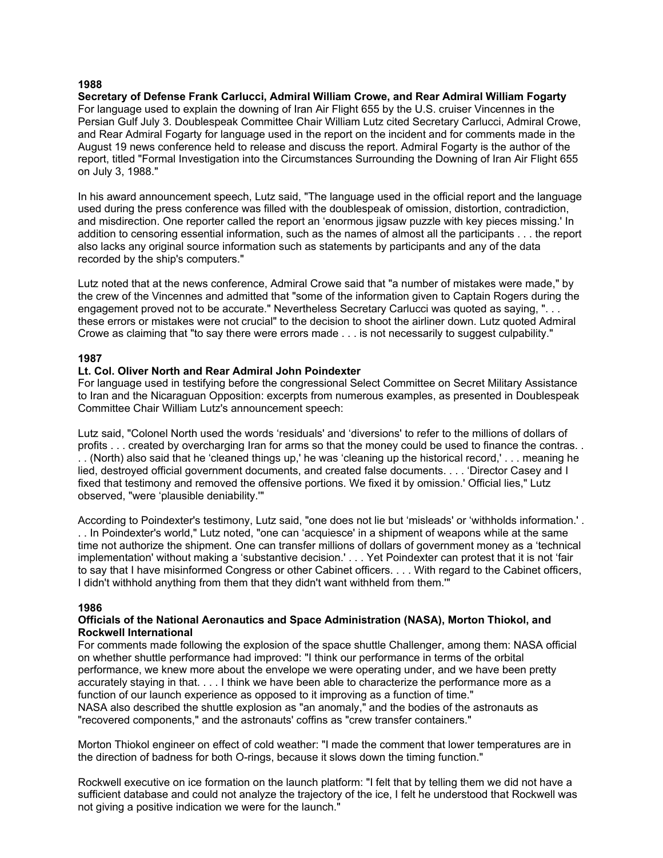### **1988**

**Secretary of Defense Frank Carlucci, Admiral William Crowe, and Rear Admiral William Fogarty** For language used to explain the downing of Iran Air Flight 655 by the U.S. cruiser Vincennes in the Persian Gulf July 3. Doublespeak Committee Chair William Lutz cited Secretary Carlucci, Admiral Crowe, and Rear Admiral Fogarty for language used in the report on the incident and for comments made in the August 19 news conference held to release and discuss the report. Admiral Fogarty is the author of the report, titled "Formal Investigation into the Circumstances Surrounding the Downing of Iran Air Flight 655 on July 3, 1988."

In his award announcement speech, Lutz said, "The language used in the official report and the language used during the press conference was filled with the doublespeak of omission, distortion, contradiction, and misdirection. One reporter called the report an 'enormous jigsaw puzzle with key pieces missing.' In addition to censoring essential information, such as the names of almost all the participants . . . the report also lacks any original source information such as statements by participants and any of the data recorded by the ship's computers."

Lutz noted that at the news conference, Admiral Crowe said that "a number of mistakes were made," by the crew of the Vincennes and admitted that "some of the information given to Captain Rogers during the engagement proved not to be accurate." Nevertheless Secretary Carlucci was quoted as saying, ". . . these errors or mistakes were not crucial" to the decision to shoot the airliner down. Lutz quoted Admiral Crowe as claiming that "to say there were errors made . . . is not necessarily to suggest culpability."

## **1987**

### **Lt. Col. Oliver North and Rear Admiral John Poindexter**

For language used in testifying before the congressional Select Committee on Secret Military Assistance to Iran and the Nicaraguan Opposition: excerpts from numerous examples, as presented in Doublespeak Committee Chair William Lutz's announcement speech:

Lutz said, "Colonel North used the words 'residuals' and 'diversions' to refer to the millions of dollars of profits . . . created by overcharging Iran for arms so that the money could be used to finance the contras. . . . (North) also said that he 'cleaned things up,' he was 'cleaning up the historical record,' . . . meaning he lied, destroyed official government documents, and created false documents. . . . 'Director Casey and I fixed that testimony and removed the offensive portions. We fixed it by omission.' Official lies," Lutz observed, "were 'plausible deniability.'"

According to Poindexter's testimony, Lutz said, "one does not lie but 'misleads' or 'withholds information.' . . . In Poindexter's world," Lutz noted, "one can 'acquiesce' in a shipment of weapons while at the same time not authorize the shipment. One can transfer millions of dollars of government money as a 'technical implementation' without making a 'substantive decision.' . . . Yet Poindexter can protest that it is not 'fair to say that I have misinformed Congress or other Cabinet officers. . . . With regard to the Cabinet officers, I didn't withhold anything from them that they didn't want withheld from them.'"

### **1986**

### **Officials of the National Aeronautics and Space Administration (NASA), Morton Thiokol, and Rockwell International**

For comments made following the explosion of the space shuttle Challenger, among them: NASA official on whether shuttle performance had improved: "I think our performance in terms of the orbital performance, we knew more about the envelope we were operating under, and we have been pretty accurately staying in that. . . . I think we have been able to characterize the performance more as a function of our launch experience as opposed to it improving as a function of time." NASA also described the shuttle explosion as "an anomaly," and the bodies of the astronauts as "recovered components," and the astronauts' coffins as "crew transfer containers."

Morton Thiokol engineer on effect of cold weather: "I made the comment that lower temperatures are in the direction of badness for both O-rings, because it slows down the timing function."

Rockwell executive on ice formation on the launch platform: "I felt that by telling them we did not have a sufficient database and could not analyze the trajectory of the ice, I felt he understood that Rockwell was not giving a positive indication we were for the launch."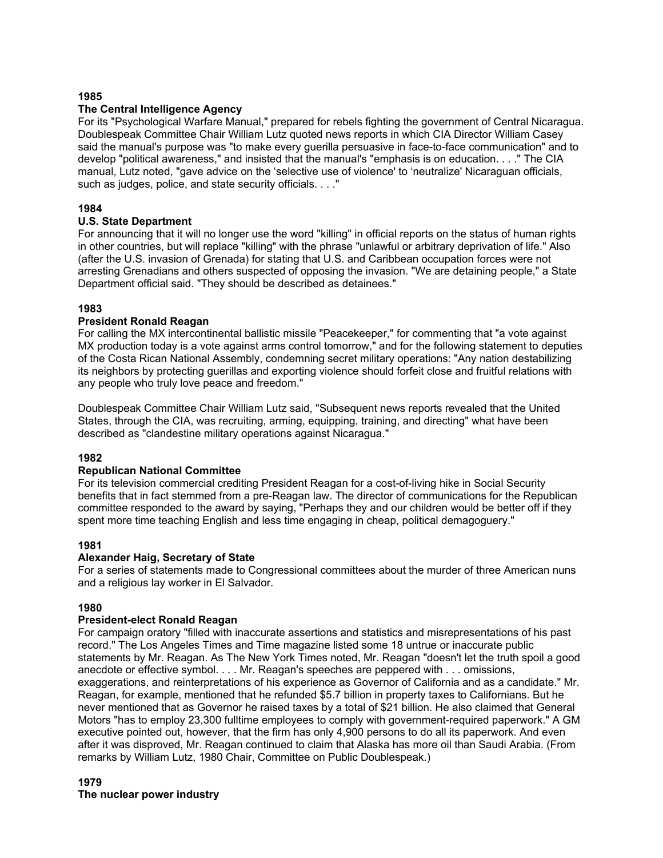### **1985**

### **The Central Intelligence Agency**

For its "Psychological Warfare Manual," prepared for rebels fighting the government of Central Nicaragua. Doublespeak Committee Chair William Lutz quoted news reports in which CIA Director William Casey said the manual's purpose was "to make every guerilla persuasive in face-to-face communication" and to develop "political awareness," and insisted that the manual's "emphasis is on education. . . ." The CIA manual, Lutz noted, "gave advice on the 'selective use of violence' to 'neutralize' Nicaraguan officials, such as judges, police, and state security officials. . . ."

## **1984**

## **U.S. State Department**

For announcing that it will no longer use the word "killing" in official reports on the status of human rights in other countries, but will replace "killing" with the phrase "unlawful or arbitrary deprivation of life." Also (after the U.S. invasion of Grenada) for stating that U.S. and Caribbean occupation forces were not arresting Grenadians and others suspected of opposing the invasion. "We are detaining people," a State Department official said. "They should be described as detainees."

## **1983**

### **President Ronald Reagan**

For calling the MX intercontinental ballistic missile "Peacekeeper," for commenting that "a vote against MX production today is a vote against arms control tomorrow," and for the following statement to deputies of the Costa Rican National Assembly, condemning secret military operations: "Any nation destabilizing its neighbors by protecting guerillas and exporting violence should forfeit close and fruitful relations with any people who truly love peace and freedom."

Doublespeak Committee Chair William Lutz said, "Subsequent news reports revealed that the United States, through the CIA, was recruiting, arming, equipping, training, and directing" what have been described as "clandestine military operations against Nicaragua."

### **1982**

### **Republican National Committee**

For its television commercial crediting President Reagan for a cost-of-living hike in Social Security benefits that in fact stemmed from a pre-Reagan law. The director of communications for the Republican committee responded to the award by saying, "Perhaps they and our children would be better off if they spent more time teaching English and less time engaging in cheap, political demagoguery."

### **1981**

### **Alexander Haig, Secretary of State**

For a series of statements made to Congressional committees about the murder of three American nuns and a religious lay worker in El Salvador.

## **1980**

### **President-elect Ronald Reagan**

For campaign oratory "filled with inaccurate assertions and statistics and misrepresentations of his past record." The Los Angeles Times and Time magazine listed some 18 untrue or inaccurate public statements by Mr. Reagan. As The New York Times noted, Mr. Reagan "doesn't let the truth spoil a good anecdote or effective symbol. . . . Mr. Reagan's speeches are peppered with . . . omissions, exaggerations, and reinterpretations of his experience as Governor of California and as a candidate." Mr. Reagan, for example, mentioned that he refunded \$5.7 billion in property taxes to Californians. But he never mentioned that as Governor he raised taxes by a total of \$21 billion. He also claimed that General Motors "has to employ 23,300 fulltime employees to comply with government-required paperwork." A GM executive pointed out, however, that the firm has only 4,900 persons to do all its paperwork. And even after it was disproved, Mr. Reagan continued to claim that Alaska has more oil than Saudi Arabia. (From remarks by William Lutz, 1980 Chair, Committee on Public Doublespeak.)